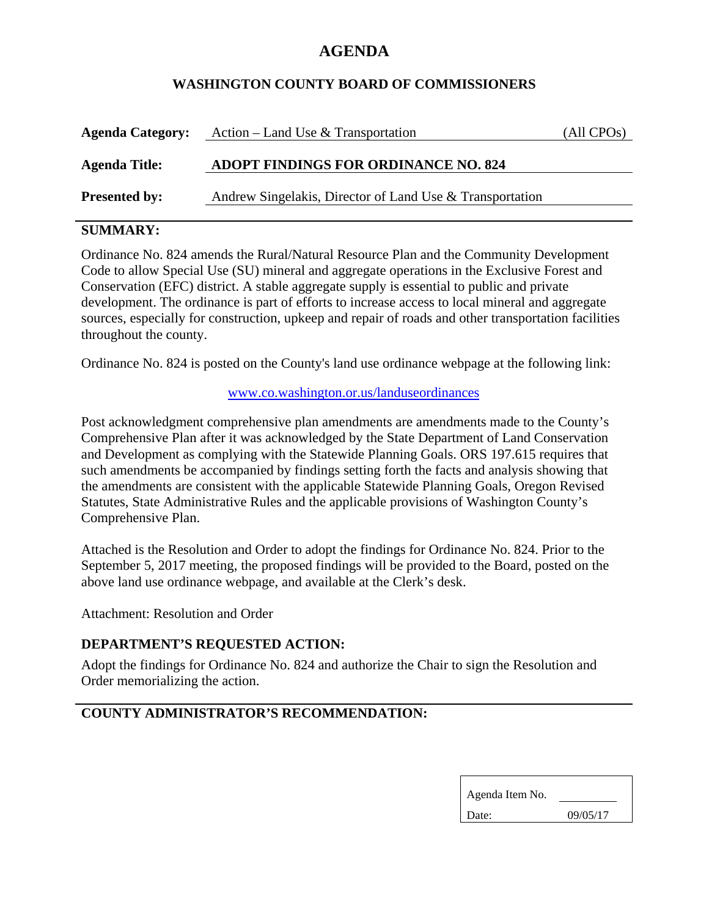# **AGENDA**

### **WASHINGTON COUNTY BOARD OF COMMISSIONERS**

| <b>Agenda Category:</b> | Action – Land Use & Transportation                       | (All CPOs) |
|-------------------------|----------------------------------------------------------|------------|
| <b>Agenda Title:</b>    | <b>ADOPT FINDINGS FOR ORDINANCE NO. 824</b>              |            |
| <b>Presented by:</b>    | Andrew Singelakis, Director of Land Use & Transportation |            |

### **SUMMARY:**

Ordinance No. 824 amends the Rural/Natural Resource Plan and the Community Development Code to allow Special Use (SU) mineral and aggregate operations in the Exclusive Forest and Conservation (EFC) district. A stable aggregate supply is essential to public and private development. The ordinance is part of efforts to increase access to local mineral and aggregate sources, especially for construction, upkeep and repair of roads and other transportation facilities throughout the county.

Ordinance No. 824 is posted on the County's land use ordinance webpage at the following link:

#### www.co.washington.or.us/landuseordinances

Post acknowledgment comprehensive plan amendments are amendments made to the County's Comprehensive Plan after it was acknowledged by the State Department of Land Conservation and Development as complying with the Statewide Planning Goals. ORS 197.615 requires that such amendments be accompanied by findings setting forth the facts and analysis showing that the amendments are consistent with the applicable Statewide Planning Goals, Oregon Revised Statutes, State Administrative Rules and the applicable provisions of Washington County's Comprehensive Plan.

Attached is the Resolution and Order to adopt the findings for Ordinance No. 824. Prior to the September 5, 2017 meeting, the proposed findings will be provided to the Board, posted on the above land use ordinance webpage, and available at the Clerk's desk.

Attachment: Resolution and Order

#### **DEPARTMENT'S REQUESTED ACTION:**

Adopt the findings for Ordinance No. 824 and authorize the Chair to sign the Resolution and Order memorializing the action.

## **COUNTY ADMINISTRATOR'S RECOMMENDATION:**

| Agenda Item No. |          |  |
|-----------------|----------|--|
| Date:           | 09/05/17 |  |